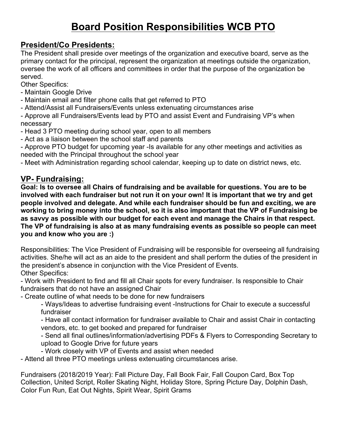# **Board Position Responsibilities WCB PTO**

## **President/Co Presidents:**

The President shall preside over meetings of the organization and executive board, serve as the primary contact for the principal, represent the organization at meetings outside the organization, oversee the work of all officers and committees in order that the purpose of the organization be served.

Other Specifics:

- Maintain Google Drive
- Maintain email and filter phone calls that get referred to PTO
- Attend/Assist all Fundraisers/Events unless extenuating circumstances arise

- Approve all Fundraisers/Events lead by PTO and assist Event and Fundraising VP's when necessary

- Head 3 PTO meeting during school year, open to all members
- Act as a liaison between the school staff and parents

- Approve PTO budget for upcoming year -Is available for any other meetings and activities as needed with the Principal throughout the school year

- Meet with Administration regarding school calendar, keeping up to date on district news, etc.

## **VP- Fundraising:**

**Goal: Is to oversee all Chairs of fundraising and be available for questions. You are to be involved with each fundraiser but not run it on your own! It is important that we try and get people involved and delegate. And while each fundraiser should be fun and exciting, we are working to bring money into the school, so it is also important that the VP of Fundraising be as savvy as possible with our budget for each event and manage the Chairs in that respect. The VP of fundraising is also at as many fundraising events as possible so people can meet you and know who you are :)** 

Responsibilities: The Vice President of Fundraising will be responsible for overseeing all fundraising activities. She/he will act as an aide to the president and shall perform the duties of the president in the president's absence in conjunction with the Vice President of Events. Other Specifics:

- Work with President to find and fill all Chair spots for every fundraiser. Is responsible to Chair fundraisers that do not have an assigned Chair

- Create outline of what needs to be done for new fundraisers

- Ways/Ideas to advertise fundraising event -Instructions for Chair to execute a successful fundraiser

- Have all contact information for fundraiser available to Chair and assist Chair in contacting vendors, etc. to get booked and prepared for fundraiser

- Send all final outlines/information/advertising PDFs & Flyers to Corresponding Secretary to upload to Google Drive for future years

- Work closely with VP of Events and assist when needed

- Attend all three PTO meetings unless extenuating circumstances arise.

Fundraisers (2018/2019 Year): Fall Picture Day, Fall Book Fair, Fall Coupon Card, Box Top Collection, United Script, Roller Skating Night, Holiday Store, Spring Picture Day, Dolphin Dash, Color Fun Run, Eat Out Nights, Spirit Wear, Spirit Grams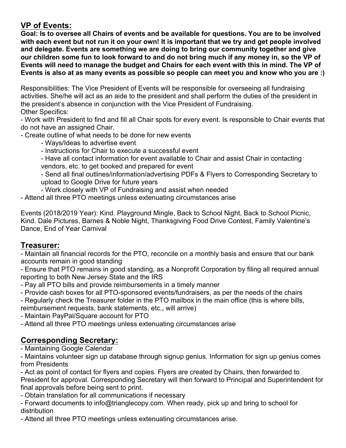# **VP of Events:**

**Goal: Is to oversee all Chairs of events and be available for questions. You are to be involved with each event but not run it on your own! It is important that we try and get people involved and delegate. Events are something we are doing to bring our community together and give our children some fun to look forward to and do not bring much if any money in, so the VP of Events will need to manage the budget and Chairs for each event with this in mind. The VP of Events is also at as many events as possible so people can meet you and know who you are :)** 

Responsibilities: The Vice President of Events will be responsible for overseeing all fundraising activities. She/he will act as an aide to the president and shall perform the duties of the president in the president's absence in conjunction with the Vice President of Fundraising. Other Specifics:

- Work with President to find and fill all Chair spots for every event. Is responsible to Chair events that do not have an assigned Chair.

- Create outline of what needs to be done for new events

- Ways/Ideas to advertise event
- Instructions for Chair to execute a successful event
- Have all contact information for event available to Chair and assist Chair in contacting vendors, etc. to get booked and prepared for event

- Send all final outlines/information/advertising PDFs & Flyers to Corresponding Secretary to upload to Google Drive for future years

- Work closely with VP of Fundraising and assist when needed

- Attend all three PTO meetings unless extenuating circumstances arise

Events (2018/2019 Year): Kind. Playground Mingle, Back to School Night, Back to School Picnic, Kind. Dale Pictures, Barnes & Noble Night, Thanksgiving Food Drive Contest, Family Valentine's Dance, End of Year Carnival

## **Treasurer:**

- Maintain all financial records for the PTO, reconcile on a monthly basis and ensure that our bank accounts remain in good standing

- Ensure that PTO remains in good standing, as a Nonprofit Corporation by filing all required annual reporting to both New Jersey State and the IRS

- Pay all PTO bills and provide reimbursements in a timely manner
- Provide cash boxes for all PTO-sponsored events/fundraisers, as per the needs of the chairs
- Regularly check the Treasurer folder in the PTO mailbox in the main office (this is where bills,

reimbursement requests, bank statements, etc., will arrive)

- Maintain PayPal/Square account for PTO

- Attend all three PTO meetings unless extenuating circumstances arise

# **Corresponding Secretary:**

- Maintaining Google Calendar

- Maintains volunteer sign up database through signup genius. Information for sign up genius comes from Presidents

- Act as point of contact for flyers and copies. Flyers are created by Chairs, then forwarded to President for approval. Corresponding Secretary will then forward to Principal and Superintendent for final approvals before being sent to print.

- Obtain translation for all communications if necessary

- Forward documents to info@trianglecopy.com. When ready, pick up and bring to school for distribution

- Attend all three PTO meetings unless extenuating circumstances arise.